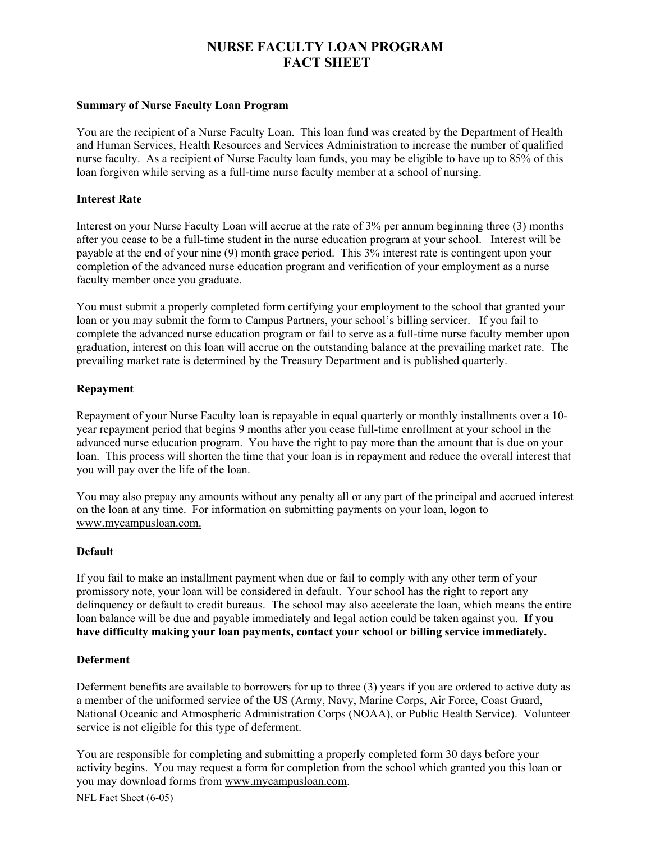# **NURSE FACULTY LOAN PROGRAM FACT SHEET**

## **Summary of Nurse Faculty Loan Program**

You are the recipient of a Nurse Faculty Loan. This loan fund was created by the Department of Health and Human Services, Health Resources and Services Administration to increase the number of qualified nurse faculty. As a recipient of Nurse Faculty loan funds, you may be eligible to have up to 85% of this loan forgiven while serving as a full-time nurse faculty member at a school of nursing.

## **Interest Rate**

Interest on your Nurse Faculty Loan will accrue at the rate of 3% per annum beginning three (3) months after you cease to be a full-time student in the nurse education program at your school. Interest will be payable at the end of your nine (9) month grace period. This 3% interest rate is contingent upon your completion of the advanced nurse education program and verification of your employment as a nurse faculty member once you graduate.

You must submit a properly completed form certifying your employment to the school that granted your loan or you may submit the form to Campus Partners, your school's billing servicer. If you fail to complete the advanced nurse education program or fail to serve as a full-time nurse faculty member upon graduation, interest on this loan will accrue on the outstanding balance at the prevailing market rate. The prevailing market rate is determined by the Treasury Department and is published quarterly.

#### **Repayment**

Repayment of your Nurse Faculty loan is repayable in equal quarterly or monthly installments over a 10 year repayment period that begins 9 months after you cease full-time enrollment at your school in the advanced nurse education program. You have the right to pay more than the amount that is due on your loan. This process will shorten the time that your loan is in repayment and reduce the overall interest that you will pay over the life of the loan.

You may also prepay any amounts without any penalty all or any part of the principal and accrued interest on the loan at any time. For information on submitting payments on your loan, logon to www.mycampusloan.com.

## **Default**

If you fail to make an installment payment when due or fail to comply with any other term of your promissory note, your loan will be considered in default. Your school has the right to report any delinquency or default to credit bureaus. The school may also accelerate the loan, which means the entire loan balance will be due and payable immediately and legal action could be taken against you. **If you have difficulty making your loan payments, contact your school or billing service immediately.**

## **Deferment**

Deferment benefits are available to borrowers for up to three (3) years if you are ordered to active duty as a member of the uniformed service of the US (Army, Navy, Marine Corps, Air Force, Coast Guard, National Oceanic and Atmospheric Administration Corps (NOAA), or Public Health Service). Volunteer service is not eligible for this type of deferment.

You are responsible for completing and submitting a properly completed form 30 days before your activity begins. You may request a form for completion from the school which granted you this loan or you may download forms from www.mycampusloan.com.